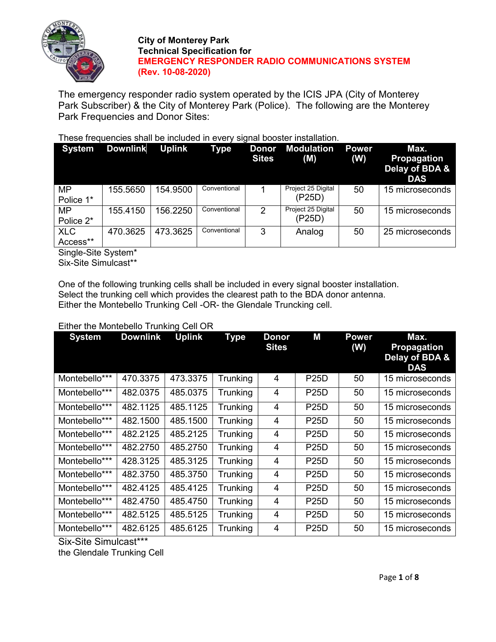

The emergency responder radio system operated by the ICIS JPA (City of Monterey Park Subscriber) & the City of Monterey Park (Police). The following are the Monterey Park Frequencies and Donor Sites:

## These frequencies shall be included in every signal booster installation.

| <b>System</b>          | <b>Downlink</b> | <b>Uplink</b> | <b>Type</b>  | Donor<br><b>Sites</b> | <b>Modulation</b><br>(M)     | <b>Power</b><br>(W) | Max.<br><b>Propagation</b><br>Delay of BDA &<br><b>DAS</b> |
|------------------------|-----------------|---------------|--------------|-----------------------|------------------------------|---------------------|------------------------------------------------------------|
| <b>MP</b><br>Police 1* | 155.5650        | 154.9500      | Conventional |                       | Project 25 Digital<br>(P25D) | 50                  | 15 microseconds                                            |
| <b>MP</b><br>Police 2* | 155.4150        | 156.2250      | Conventional | 2                     | Project 25 Digital<br>(P25D) | 50                  | 15 microseconds                                            |
| <b>XLC</b><br>Access** | 470.3625        | 473.3625      | Conventional | 3                     | Analog                       | 50                  | 25 microseconds                                            |

Single-Site System\*

Six-Site Simulcast\*\*

One of the following trunking cells shall be included in every signal booster installation. Select the trunking cell which provides the clearest path to the BDA donor antenna. Either the Montebello Trunking Cell -OR- the Glendale Truncking cell.

#### **System Downlink Uplink Type Donor Sites M Power (W) Max. Propagation Delay of BDA & DAS** Montebello\*\*\* | 470.3375 | 473.3375 | Trunking | 4 | P25D | 50 | 15 microseconds Montebello\*\*\* | 482.0375 | 485.0375 | Trunking | 4 | P25D | 50 | 15 microseconds Montebello\*\*\* | 482.1125 | 485.1125 | Trunking | 4 | P25D | 50 | 15 microseconds Montebello\*\*\* 482.1500 485.1500 Trunking 4 P25D 50 15 microseconds Montebello\*\*\* | 482.2125 | 485.2125 | Trunking | 4 | P25D | 50 | 15 microseconds Montebello\*\*\* | 482.2750 | 485.2750 | Trunking | 4 | P25D | 50 | 15 microseconds Montebello\*\*\* | 428.3125 | 485.3125 | Trunking  $\vert$  4 | P25D | 50 | 15 microseconds Montebello\*\*\* | 482.3750 | 485.3750 | Trunking | 4 | P25D | 50 | 15 microseconds Montebello\*\*\* | 482.4125 | 485.4125 | Trunking |  $4$  | P25D | 50 | 15 microseconds Montebello\*\*\* | 482.4750 | 485.4750 | Trunking | 4 | P25D | 50 | 15 microseconds Montebello\*\*\* | 482.5125 | 485.5125 | Trunking |  $\,$  4 | P25D | 50 | 15 microseconds Montebello\*\*\* | 482.6125 | 485.6125 | Trunking | 4 | P25D | 50 | 15 microseconds

## Either the Montebello Trunking Cell OR

Six-Site Simulcast\*\*\*

the Glendale Trunking Cell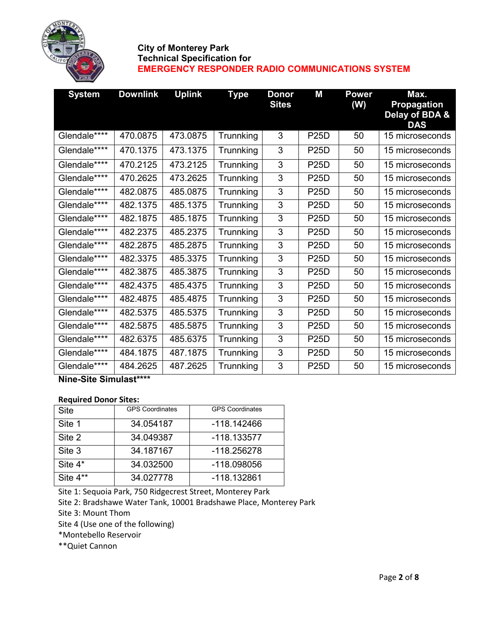

| <b>System</b> | <b>Downlink</b> | <b>Uplink</b> | Type      | <b>Donor</b><br><b>Sites</b> | M           | <b>Power</b><br>(W) | Max.<br><b>Propagation</b><br>Delay of BDA &<br><b>DAS</b> |
|---------------|-----------------|---------------|-----------|------------------------------|-------------|---------------------|------------------------------------------------------------|
| Glendale****  | 470.0875        | 473.0875      | Trunnking | 3                            | <b>P25D</b> | 50                  | 15 microseconds                                            |
| Glendale****  | 470.1375        | 473.1375      | Trunnking | 3                            | <b>P25D</b> | 50                  | 15 microseconds                                            |
| Glendale****  | 470.2125        | 473.2125      | Trunnking | 3                            | <b>P25D</b> | 50                  | 15 microseconds                                            |
| Glendale****  | 470.2625        | 473.2625      | Trunnking | 3                            | <b>P25D</b> | 50                  | 15 microseconds                                            |
| Glendale****  | 482.0875        | 485.0875      | Trunnking | 3                            | <b>P25D</b> | 50                  | 15 microseconds                                            |
| Glendale****  | 482.1375        | 485.1375      | Trunnking | 3                            | <b>P25D</b> | 50                  | 15 microseconds                                            |
| Glendale****  | 482.1875        | 485.1875      | Trunnking | 3                            | <b>P25D</b> | 50                  | 15 microseconds                                            |
| Glendale****  | 482.2375        | 485.2375      | Trunnking | 3                            | <b>P25D</b> | 50                  | 15 microseconds                                            |
| Glendale****  | 482.2875        | 485.2875      | Trunnking | 3                            | <b>P25D</b> | 50                  | 15 microseconds                                            |
| Glendale****  | 482.3375        | 485.3375      | Trunnking | 3                            | <b>P25D</b> | 50                  | 15 microseconds                                            |
| Glendale****  | 482.3875        | 485.3875      | Trunnking | 3                            | <b>P25D</b> | 50                  | 15 microseconds                                            |
| Glendale****  | 482.4375        | 485.4375      | Trunnking | 3                            | <b>P25D</b> | 50                  | 15 microseconds                                            |
| Glendale****  | 482.4875        | 485.4875      | Trunnking | 3                            | <b>P25D</b> | 50                  | 15 microseconds                                            |
| Glendale****  | 482.5375        | 485.5375      | Trunnking | 3                            | <b>P25D</b> | 50                  | 15 microseconds                                            |
| Glendale****  | 482.5875        | 485.5875      | Trunnking | 3                            | <b>P25D</b> | 50                  | 15 microseconds                                            |
| Glendale****  | 482.6375        | 485.6375      | Trunnking | 3                            | <b>P25D</b> | 50                  | 15 microseconds                                            |
| Glendale****  | 484.1875        | 487.1875      | Trunnking | 3                            | <b>P25D</b> | 50                  | 15 microseconds                                            |
| Glendale****  | 484.2625        | 487.2625      | Trunnking | 3                            | <b>P25D</b> | 50                  | 15 microseconds                                            |

**Nine-Site Simulast\*\*\*\***

#### **Required Donor Sites:**

| <b>Site</b> | <b>GPS Coordinates</b> | <b>GPS Coordinates</b> |
|-------------|------------------------|------------------------|
| Site 1      | 34.054187              | -118.142466            |
| Site 2      | 34.049387              | $-118.133577$          |
| Site 3      | 34.187167              | $-118.256278$          |
| Site 4*     | 34.032500              | -118.098056            |
| Site 4**    | 34.027778              | -118.132861            |

Site 1: Sequoia Park, 750 Ridgecrest Street, Monterey Park

Site 2: Bradshawe Water Tank, 10001 Bradshawe Place, Monterey Park

Site 3: Mount Thom

Site 4 (Use one of the following)

\*Montebello Reservoir

\*\*Quiet Cannon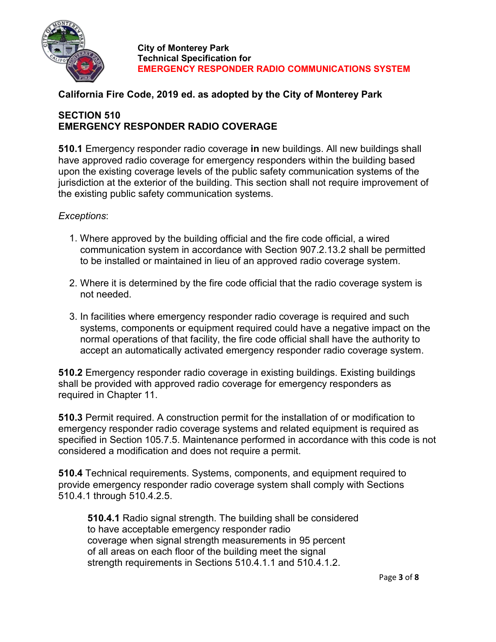

## **California Fire Code, 2019 ed. as adopted by the City of Monterey Park**

# **SECTION 510 EMERGENCY RESPONDER RADIO COVERAGE**

**510.1** Emergency responder radio coverage **in** new buildings. All new buildings shall have approved radio coverage for emergency responders within the building based upon the existing coverage levels of the public safety communication systems of the jurisdiction at the exterior of the building. This section shall not require improvement of the existing public safety communication systems.

## *Exceptions*:

- 1. Where approved by the building official and the fire code official, a wired communication system in accordance with Section 907.2.13.2 shall be permitted to be installed or maintained in lieu of an approved radio coverage system.
- 2. Where it is determined by the fire code official that the radio coverage system is not needed.
- 3. In facilities where emergency responder radio coverage is required and such systems, components or equipment required could have a negative impact on the normal operations of that facility, the fire code official shall have the authority to accept an automatically activated emergency responder radio coverage system.

**510.2** Emergency responder radio coverage in existing buildings. Existing buildings shall be provided with approved radio coverage for emergency responders as required in Chapter 11.

**510.3** Permit required. A construction permit for the installation of or modification to emergency responder radio coverage systems and related equipment is required as specified in Section 105.7.5. Maintenance performed in accordance with this code is not considered a modification and does not require a permit.

**510.4** Technical requirements. Systems, components, and equipment required to provide emergency responder radio coverage system shall comply with Sections 510.4.1 through 510.4.2.5.

**510.4.1** Radio signal strength. The building shall be considered to have acceptable emergency responder radio coverage when signal strength measurements in 95 percent of all areas on each floor of the building meet the signal strength requirements in Sections 510.4.1.1 and 510.4.1.2.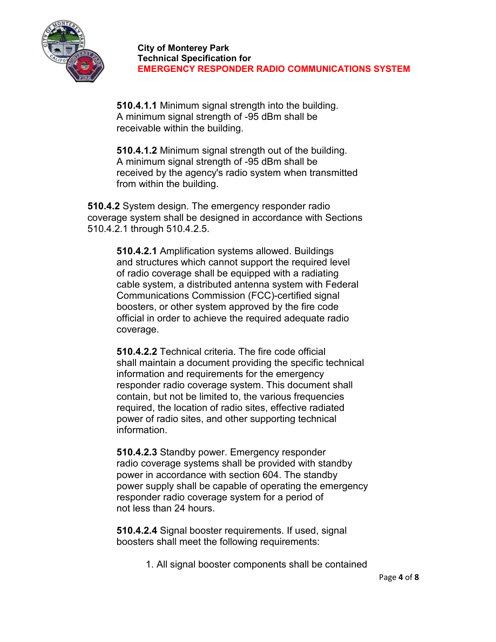

**510.4.1.1** Minimum signal strength into the building. A minimum signal strength of -95 dBm shall be receivable within the building.

**510.4.1.2** Minimum signal strength out of the building. A minimum signal strength of -95 dBm shall be received by the agency's radio system when transmitted from within the building.

**510.4.2** System design. The emergency responder radio coverage system shall be designed in accordance with Sections 510.4.2.1 through 510.4.2.5.

> **510.4.2.1** Amplification systems allowed. Buildings and structures which cannot support the required level of radio coverage shall be equipped with a radiating cable system, a distributed antenna system with Federal Communications Commission (FCC)-certified signal boosters, or other system approved by the fire code official in order to achieve the required adequate radio coverage.

**510.4.2.2** Technical criteria. The fire code official shall maintain a document providing the specific technical information and requirements for the emergency responder radio coverage system. This document shall contain, but not be limited to, the various frequencies required, the location of radio sites, effective radiated power of radio sites, and other supporting technical information.

**510.4.2.3** Standby power. Emergency responder radio coverage systems shall be provided with standby power in accordance with section 604. The standby power supply shall be capable of operating the emergency responder radio coverage system for a period of not less than 24 hours.

**510.4.2.4** Signal booster requirements. If used, signal boosters shall meet the following requirements:

1. All signal booster components shall be contained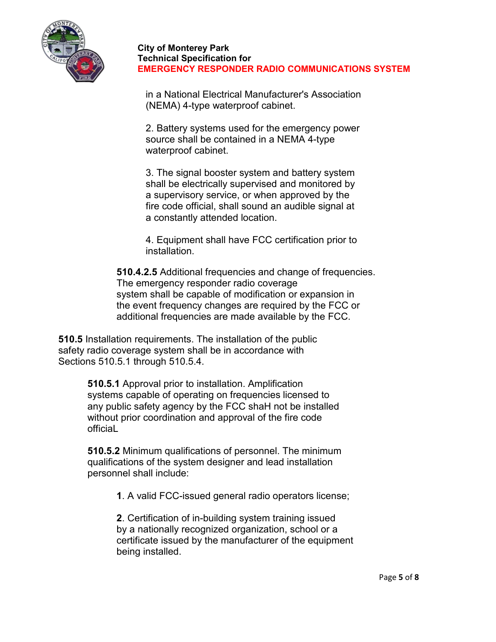

in a National Electrical Manufacturer's Association (NEMA) 4-type waterproof cabinet.

2. Battery systems used for the emergency power source shall be contained in a NEMA 4-type waterproof cabinet.

3. The signal booster system and battery system shall be electrically supervised and monitored by a supervisory service, or when approved by the fire code official, shall sound an audible signal at a constantly attended location.

4. Equipment shall have FCC certification prior to installation.

**510.4.2.5** Additional frequencies and change of frequencies. The emergency responder radio coverage system shall be capable of modification or expansion in the event frequency changes are required by the FCC or additional frequencies are made available by the FCC.

**510.5** Installation requirements. The installation of the public safety radio coverage system shall be in accordance with Sections 510.5.1 through 510.5.4.

> **510.5.1** Approval prior to installation. Amplification systems capable of operating on frequencies licensed to any public safety agency by the FCC shaH not be installed without prior coordination and approval of the fire code officiaL

> **510.5.2** Minimum qualifications of personnel. The minimum qualifications of the system designer and lead installation personnel shall include:

> > **1**. A valid FCC-issued general radio operators license;

**2**. Certification of in-building system training issued by a nationally recognized organization, school or a certificate issued by the manufacturer of the equipment being installed.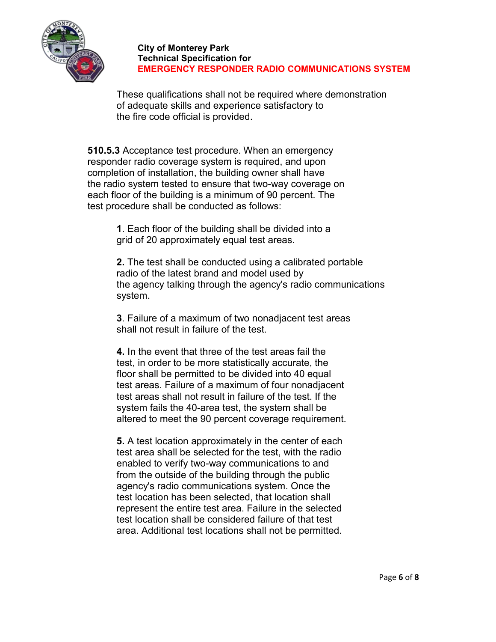

These qualifications shall not be required where demonstration of adequate skills and experience satisfactory to the fire code official is provided.

**510.5.3** Acceptance test procedure. When an emergency responder radio coverage system is required, and upon completion of installation, the building owner shall have the radio system tested to ensure that two-way coverage on each floor of the building is a minimum of 90 percent. The test procedure shall be conducted as follows:

> **1**. Each floor of the building shall be divided into a grid of 20 approximately equal test areas.

**2.** The test shall be conducted using a calibrated portable radio of the latest brand and model used by the agency talking through the agency's radio communications system.

**3**. Failure of a maximum of two nonadjacent test areas shall not result in failure of the test.

**4.** In the event that three of the test areas fail the test, in order to be more statistically accurate, the floor shall be permitted to be divided into 40 equal test areas. Failure of a maximum of four nonadjacent test areas shall not result in failure of the test. If the system fails the 40-area test, the system shall be altered to meet the 90 percent coverage requirement.

**5.** A test location approximately in the center of each test area shall be selected for the test, with the radio enabled to verify two-way communications to and from the outside of the building through the public agency's radio communications system. Once the test location has been selected, that location shall represent the entire test area. Failure in the selected test location shall be considered failure of that test area. Additional test locations shall not be permitted.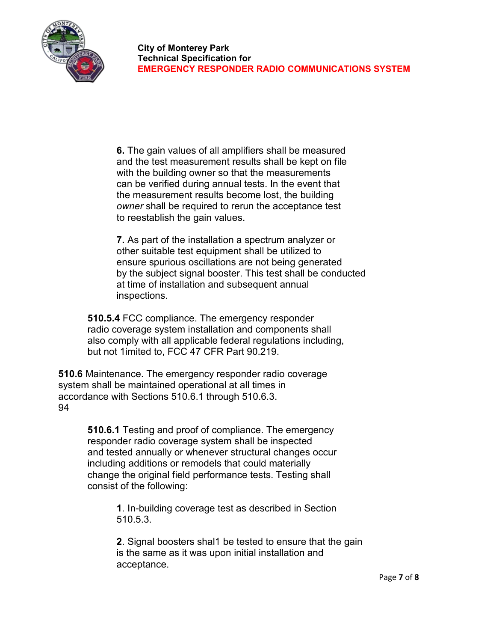

**6.** The gain values of all amplifiers shall be measured and the test measurement results shall be kept on file with the building owner so that the measurements can be verified during annual tests. In the event that the measurement results become lost, the building *owner* shall be required to rerun the acceptance test to reestablish the gain values.

**7.** As part of the installation a spectrum analyzer or other suitable test equipment shall be utilized to ensure spurious oscillations are not being generated by the subject signal booster. This test shall be conducted at time of installation and subsequent annual inspections.

**510.5.4** FCC compliance. The emergency responder radio coverage system installation and components shall also comply with all applicable federal regulations including, but not 1imited to, FCC 47 CFR Part 90.219.

**510.6** Maintenance. The emergency responder radio coverage system shall be maintained operational at all times in accordance with Sections 510.6.1 through 510.6.3. 94

> **510.6.1** Testing and proof of compliance. The emergency responder radio coverage system shall be inspected and tested annually or whenever structural changes occur including additions or remodels that could materially change the original field performance tests. Testing shall consist of the following:

> > **1**. In-building coverage test as described in Section 510.5.3.

**2**. Signal boosters shal1 be tested to ensure that the gain is the same as it was upon initial installation and acceptance.